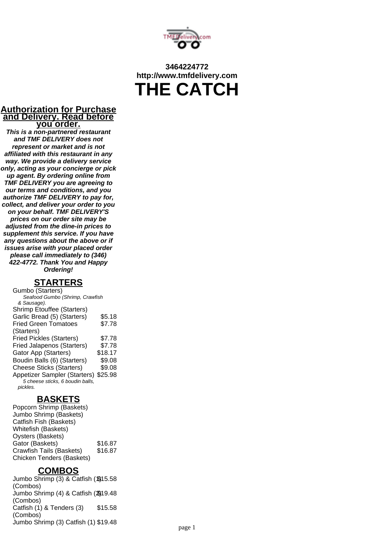

# **3464224772 http://www.tmfdelivery.com THE CATCH**

#### **Authorization for Purchase and Delivery. Read before you order.**

**This is a non-partnered restaurant and TMF DELIVERY does not represent or market and is not affiliated with this restaurant in any way. We provide a delivery service only, acting as your concierge or pick up agent. By ordering online from TMF DELIVERY you are agreeing to our terms and conditions, and you authorize TMF DELIVERY to pay for, collect, and deliver your order to you on your behalf. TMF DELIVERY'S prices on our order site may be adjusted from the dine-in prices to supplement this service. If you have any questions about the above or if issues arise with your placed order please call immediately to (346) 422-4772. Thank You and Happy Ordering!**

#### **STARTERS**

Gumbo (Starters) Seafood Gumbo (Shrimp, Crawfish & Sausage). Shrimp Etouffee (Starters) Garlic Bread (5) (Starters) \$5.18 Fried Green Tomatoes (Starters) \$7.78 Fried Pickles (Starters) \$7.78 Fried Jalapenos (Starters) \$7.78 Gator App (Starters) \$18.17 Boudin Balls (6) (Starters) \$9.08 Cheese Sticks (Starters) \$9.08 Appetizer Sampler (Starters) \$25.98 5 cheese sticks, 6 boudin balls, pickles.

#### **BASKETS**

Popcorn Shrimp (Baskets) Jumbo Shrimp (Baskets) Catfish Fish (Baskets) Whitefish (Baskets) Oysters (Baskets) Gator (Baskets) \$16.87 Crawfish Tails (Baskets) \$16.87 Chicken Tenders (Baskets)

#### **COMBOS**

Jumbo Shrimp (3) & Catfish (1)15.58 (Combos) Jumbo Shrimp (4) & Catfish (2) \$19.48 (Combos) Catfish (1) & Tenders (3) (Combos) \$15.58 Jumbo Shrimp (3) Catfish (1) \$19.48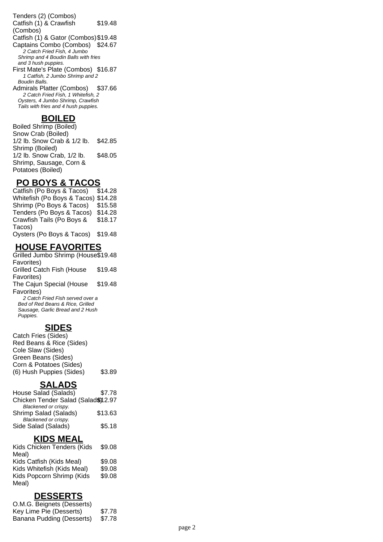Tenders (2) (Combos) Catfish (1) & Crawfish (Combos) \$19.48 Catfish (1) & Gator (Combos)\$19.48 Captains Combo (Combos) \$24.67 2 Catch Fried Fish, 4 Jumbo Shrimp and 4 Boudin Balls with fries and 3 hush puppies. First Mate's Plate (Combos) \$16.87

1 Catfish, 2 Jumbo Shrimp and 2 Boudin Balls.

Admirals Platter (Combos) \$37.66 2 Catch Fried Fish, 1 Whitefish, 2 Oysters, 4 Jumbo Shrimp, Crawfish Tails with fries and 4 hush puppies.

#### **BOILED**

Boiled Shrimp (Boiled) Snow Crab (Boiled) 1/2 lb. Snow Crab & 1/2 lb. Shrimp (Boiled) \$42.85 1/2 lb. Snow Crab, 1/2 lb. Shrimp, Sausage, Corn & Potatoes (Boiled) \$48.05

# **PO BOYS & TACOS**

Catfish (Po Boys & Tacos) \$14.28 Whitefish (Po Boys & Tacos) \$14.28 Shrimp (Po Boys & Tacos) \$15.58 Tenders (Po Boys & Tacos) \$14.28 Crawfish Tails (Po Boys & Tacos) \$18.17 Oysters (Po Boys & Tacos) \$19.48

### **HOUSE FAVORITES**

Grilled Jumbo Shrimp (House \$19.48 Favorites) Grilled Catch Fish (House Favorites) \$19.48 The Cajun Special (House Favorites) \$19.48 2 Catch Fried Fish served over a Bed of Red Beans & Rice, Grilled Sausage, Garlic Bread and 2 Hush Puppies.

#### **SIDES**

Catch Fries (Sides) Red Beans & Rice (Sides) Cole Slaw (Sides) Green Beans (Sides) Corn & Potatoes (Sides) (6) Hush Puppies (Sides) \$3.89

# **SALADS**

House Salad (Salads) \$7.78 Chicken Tender Salad (Salad§)12.97 Blackened or crispy. Shrimp Salad (Salads) \$13.63 Blackened or crispy. Side Salad (Salads) \$5.18

#### **KIDS MEAL**

Kids Chicken Tenders (Kids Meal) \$9.08 Kids Catfish (Kids Meal) \$9.08 Kids Whitefish (Kids Meal) \$9.08 Kids Popcorn Shrimp (Kids Meal) \$9.08

#### **DESSERTS**

O.M.G. Beignets (Desserts) Key Lime Pie (Desserts) \$7.78 Banana Pudding (Desserts) \$7.78